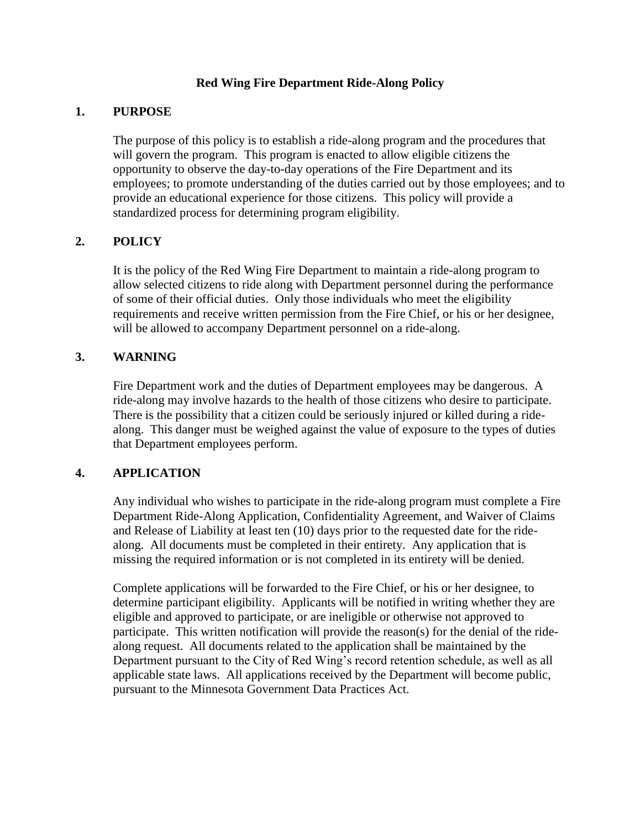## **Red Wing Fire Department Ride-Along Policy**

#### **1. PURPOSE**

The purpose of this policy is to establish a ride-along program and the procedures that will govern the program. This program is enacted to allow eligible citizens the opportunity to observe the day-to-day operations of the Fire Department and its employees; to promote understanding of the duties carried out by those employees; and to provide an educational experience for those citizens. This policy will provide a standardized process for determining program eligibility.

# **2. POLICY**

It is the policy of the Red Wing Fire Department to maintain a ride-along program to allow selected citizens to ride along with Department personnel during the performance of some of their official duties. Only those individuals who meet the eligibility requirements and receive written permission from the Fire Chief, or his or her designee, will be allowed to accompany Department personnel on a ride-along.

## **3. WARNING**

Fire Department work and the duties of Department employees may be dangerous. A ride-along may involve hazards to the health of those citizens who desire to participate. There is the possibility that a citizen could be seriously injured or killed during a ridealong. This danger must be weighed against the value of exposure to the types of duties that Department employees perform.

#### **4. APPLICATION**

Any individual who wishes to participate in the ride-along program must complete a Fire Department Ride-Along Application, Confidentiality Agreement, and Waiver of Claims and Release of Liability at least ten (10) days prior to the requested date for the ridealong. All documents must be completed in their entirety. Any application that is missing the required information or is not completed in its entirety will be denied.

Complete applications will be forwarded to the Fire Chief, or his or her designee, to determine participant eligibility. Applicants will be notified in writing whether they are eligible and approved to participate, or are ineligible or otherwise not approved to participate. This written notification will provide the reason(s) for the denial of the ridealong request. All documents related to the application shall be maintained by the Department pursuant to the City of Red Wing's record retention schedule, as well as all applicable state laws. All applications received by the Department will become public, pursuant to the Minnesota Government Data Practices Act.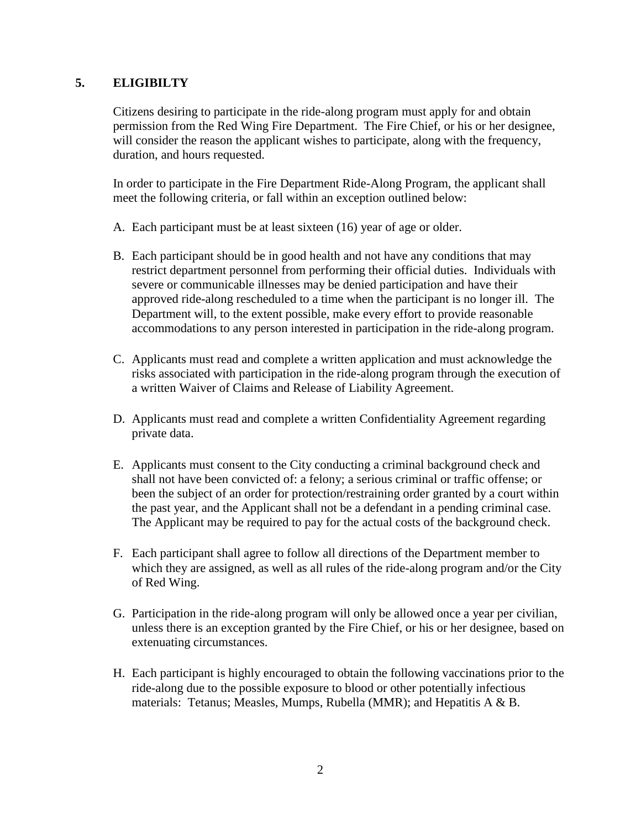## **5. ELIGIBILTY**

Citizens desiring to participate in the ride-along program must apply for and obtain permission from the Red Wing Fire Department. The Fire Chief, or his or her designee, will consider the reason the applicant wishes to participate, along with the frequency, duration, and hours requested.

In order to participate in the Fire Department Ride-Along Program, the applicant shall meet the following criteria, or fall within an exception outlined below:

- A. Each participant must be at least sixteen (16) year of age or older.
- B. Each participant should be in good health and not have any conditions that may restrict department personnel from performing their official duties. Individuals with severe or communicable illnesses may be denied participation and have their approved ride-along rescheduled to a time when the participant is no longer ill. The Department will, to the extent possible, make every effort to provide reasonable accommodations to any person interested in participation in the ride-along program.
- C. Applicants must read and complete a written application and must acknowledge the risks associated with participation in the ride-along program through the execution of a written Waiver of Claims and Release of Liability Agreement.
- D. Applicants must read and complete a written Confidentiality Agreement regarding private data.
- E. Applicants must consent to the City conducting a criminal background check and shall not have been convicted of: a felony; a serious criminal or traffic offense; or been the subject of an order for protection/restraining order granted by a court within the past year, and the Applicant shall not be a defendant in a pending criminal case. The Applicant may be required to pay for the actual costs of the background check.
- F. Each participant shall agree to follow all directions of the Department member to which they are assigned, as well as all rules of the ride-along program and/or the City of Red Wing.
- G. Participation in the ride-along program will only be allowed once a year per civilian, unless there is an exception granted by the Fire Chief, or his or her designee, based on extenuating circumstances.
- H. Each participant is highly encouraged to obtain the following vaccinations prior to the ride-along due to the possible exposure to blood or other potentially infectious materials: Tetanus; Measles, Mumps, Rubella (MMR); and Hepatitis A & B.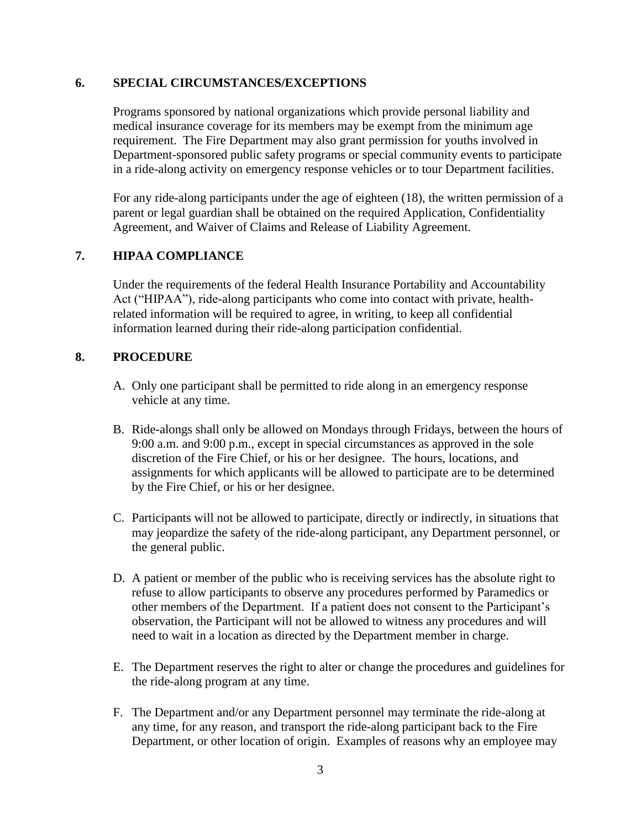#### **6. SPECIAL CIRCUMSTANCES/EXCEPTIONS**

Programs sponsored by national organizations which provide personal liability and medical insurance coverage for its members may be exempt from the minimum age requirement. The Fire Department may also grant permission for youths involved in Department-sponsored public safety programs or special community events to participate in a ride-along activity on emergency response vehicles or to tour Department facilities.

For any ride-along participants under the age of eighteen (18), the written permission of a parent or legal guardian shall be obtained on the required Application, Confidentiality Agreement, and Waiver of Claims and Release of Liability Agreement.

## **7. HIPAA COMPLIANCE**

Under the requirements of the federal Health Insurance Portability and Accountability Act ("HIPAA"), ride-along participants who come into contact with private, healthrelated information will be required to agree, in writing, to keep all confidential information learned during their ride-along participation confidential.

## **8. PROCEDURE**

- A. Only one participant shall be permitted to ride along in an emergency response vehicle at any time.
- B. Ride-alongs shall only be allowed on Mondays through Fridays, between the hours of 9:00 a.m. and 9:00 p.m., except in special circumstances as approved in the sole discretion of the Fire Chief, or his or her designee. The hours, locations, and assignments for which applicants will be allowed to participate are to be determined by the Fire Chief, or his or her designee.
- C. Participants will not be allowed to participate, directly or indirectly, in situations that may jeopardize the safety of the ride-along participant, any Department personnel, or the general public.
- D. A patient or member of the public who is receiving services has the absolute right to refuse to allow participants to observe any procedures performed by Paramedics or other members of the Department. If a patient does not consent to the Participant's observation, the Participant will not be allowed to witness any procedures and will need to wait in a location as directed by the Department member in charge.
- E. The Department reserves the right to alter or change the procedures and guidelines for the ride-along program at any time.
- F. The Department and/or any Department personnel may terminate the ride-along at any time, for any reason, and transport the ride-along participant back to the Fire Department, or other location of origin. Examples of reasons why an employee may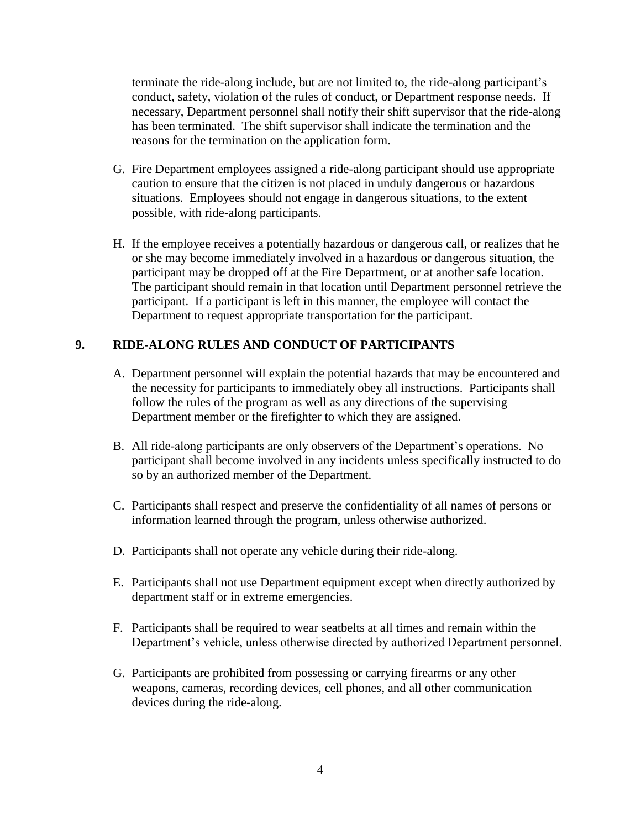terminate the ride-along include, but are not limited to, the ride-along participant's conduct, safety, violation of the rules of conduct, or Department response needs. If necessary, Department personnel shall notify their shift supervisor that the ride-along has been terminated. The shift supervisor shall indicate the termination and the reasons for the termination on the application form.

- G. Fire Department employees assigned a ride-along participant should use appropriate caution to ensure that the citizen is not placed in unduly dangerous or hazardous situations. Employees should not engage in dangerous situations, to the extent possible, with ride-along participants.
- H. If the employee receives a potentially hazardous or dangerous call, or realizes that he or she may become immediately involved in a hazardous or dangerous situation, the participant may be dropped off at the Fire Department, or at another safe location. The participant should remain in that location until Department personnel retrieve the participant. If a participant is left in this manner, the employee will contact the Department to request appropriate transportation for the participant.

## **9. RIDE-ALONG RULES AND CONDUCT OF PARTICIPANTS**

- A. Department personnel will explain the potential hazards that may be encountered and the necessity for participants to immediately obey all instructions. Participants shall follow the rules of the program as well as any directions of the supervising Department member or the firefighter to which they are assigned.
- B. All ride-along participants are only observers of the Department's operations. No participant shall become involved in any incidents unless specifically instructed to do so by an authorized member of the Department.
- C. Participants shall respect and preserve the confidentiality of all names of persons or information learned through the program, unless otherwise authorized.
- D. Participants shall not operate any vehicle during their ride-along.
- E. Participants shall not use Department equipment except when directly authorized by department staff or in extreme emergencies.
- F. Participants shall be required to wear seatbelts at all times and remain within the Department's vehicle, unless otherwise directed by authorized Department personnel.
- G. Participants are prohibited from possessing or carrying firearms or any other weapons, cameras, recording devices, cell phones, and all other communication devices during the ride-along.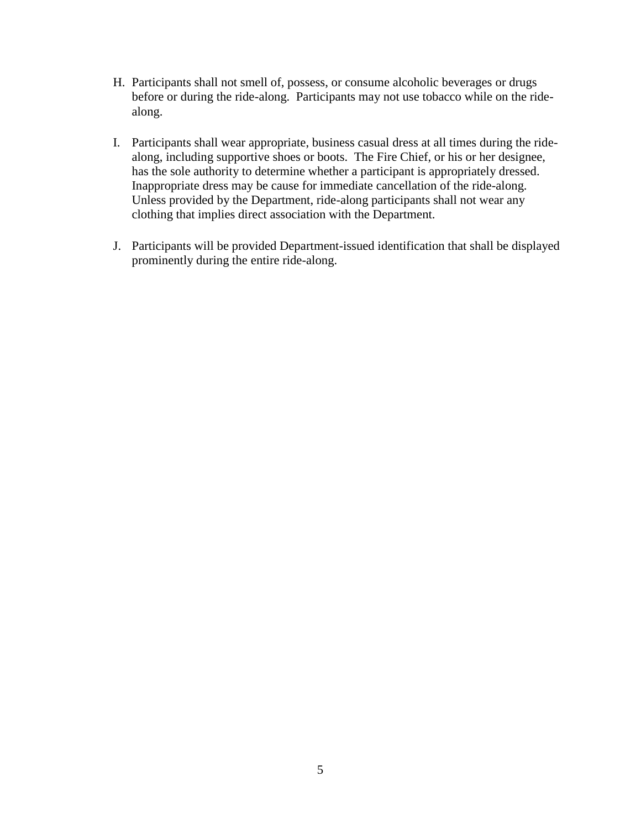- H. Participants shall not smell of, possess, or consume alcoholic beverages or drugs before or during the ride-along. Participants may not use tobacco while on the ridealong.
- I. Participants shall wear appropriate, business casual dress at all times during the ridealong, including supportive shoes or boots. The Fire Chief, or his or her designee, has the sole authority to determine whether a participant is appropriately dressed. Inappropriate dress may be cause for immediate cancellation of the ride-along. Unless provided by the Department, ride-along participants shall not wear any clothing that implies direct association with the Department.
- J. Participants will be provided Department-issued identification that shall be displayed prominently during the entire ride-along.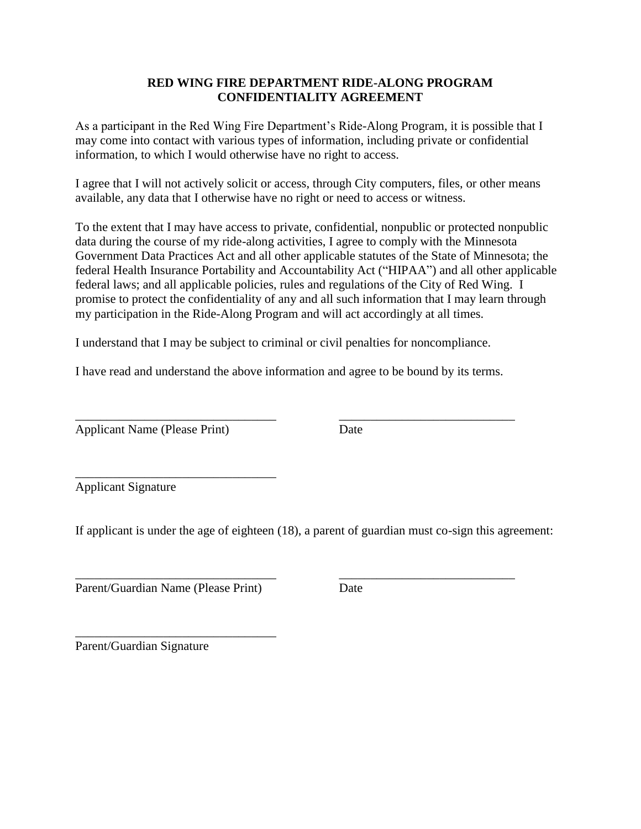## **RED WING FIRE DEPARTMENT RIDE-ALONG PROGRAM CONFIDENTIALITY AGREEMENT**

As a participant in the Red Wing Fire Department's Ride-Along Program, it is possible that I may come into contact with various types of information, including private or confidential information, to which I would otherwise have no right to access.

I agree that I will not actively solicit or access, through City computers, files, or other means available, any data that I otherwise have no right or need to access or witness.

To the extent that I may have access to private, confidential, nonpublic or protected nonpublic data during the course of my ride-along activities, I agree to comply with the Minnesota Government Data Practices Act and all other applicable statutes of the State of Minnesota; the federal Health Insurance Portability and Accountability Act ("HIPAA") and all other applicable federal laws; and all applicable policies, rules and regulations of the City of Red Wing. I promise to protect the confidentiality of any and all such information that I may learn through my participation in the Ride-Along Program and will act accordingly at all times.

I understand that I may be subject to criminal or civil penalties for noncompliance.

I have read and understand the above information and agree to be bound by its terms.

\_\_\_\_\_\_\_\_\_\_\_\_\_\_\_\_\_\_\_\_\_\_\_\_\_\_\_\_\_\_\_\_ \_\_\_\_\_\_\_\_\_\_\_\_\_\_\_\_\_\_\_\_\_\_\_\_\_\_\_\_

Applicant Name (Please Print) Date

Applicant Signature

If applicant is under the age of eighteen (18), a parent of guardian must co-sign this agreement:

\_\_\_\_\_\_\_\_\_\_\_\_\_\_\_\_\_\_\_\_\_\_\_\_\_\_\_\_\_\_\_\_ \_\_\_\_\_\_\_\_\_\_\_\_\_\_\_\_\_\_\_\_\_\_\_\_\_\_\_\_

Parent/Guardian Name (Please Print) Date

\_\_\_\_\_\_\_\_\_\_\_\_\_\_\_\_\_\_\_\_\_\_\_\_\_\_\_\_\_\_\_\_

\_\_\_\_\_\_\_\_\_\_\_\_\_\_\_\_\_\_\_\_\_\_\_\_\_\_\_\_\_\_\_\_

Parent/Guardian Signature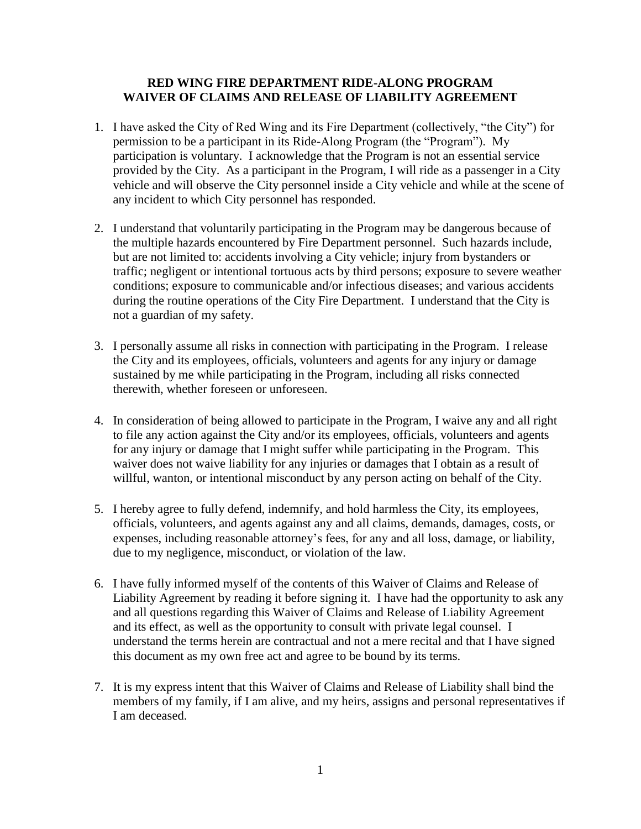#### **RED WING FIRE DEPARTMENT RIDE-ALONG PROGRAM WAIVER OF CLAIMS AND RELEASE OF LIABILITY AGREEMENT**

- 1. I have asked the City of Red Wing and its Fire Department (collectively, "the City") for permission to be a participant in its Ride-Along Program (the "Program"). My participation is voluntary. I acknowledge that the Program is not an essential service provided by the City. As a participant in the Program, I will ride as a passenger in a City vehicle and will observe the City personnel inside a City vehicle and while at the scene of any incident to which City personnel has responded.
- 2. I understand that voluntarily participating in the Program may be dangerous because of the multiple hazards encountered by Fire Department personnel. Such hazards include, but are not limited to: accidents involving a City vehicle; injury from bystanders or traffic; negligent or intentional tortuous acts by third persons; exposure to severe weather conditions; exposure to communicable and/or infectious diseases; and various accidents during the routine operations of the City Fire Department. I understand that the City is not a guardian of my safety.
- 3. I personally assume all risks in connection with participating in the Program. I release the City and its employees, officials, volunteers and agents for any injury or damage sustained by me while participating in the Program, including all risks connected therewith, whether foreseen or unforeseen.
- 4. In consideration of being allowed to participate in the Program, I waive any and all right to file any action against the City and/or its employees, officials, volunteers and agents for any injury or damage that I might suffer while participating in the Program. This waiver does not waive liability for any injuries or damages that I obtain as a result of willful, wanton, or intentional misconduct by any person acting on behalf of the City.
- 5. I hereby agree to fully defend, indemnify, and hold harmless the City, its employees, officials, volunteers, and agents against any and all claims, demands, damages, costs, or expenses, including reasonable attorney's fees, for any and all loss, damage, or liability, due to my negligence, misconduct, or violation of the law.
- 6. I have fully informed myself of the contents of this Waiver of Claims and Release of Liability Agreement by reading it before signing it. I have had the opportunity to ask any and all questions regarding this Waiver of Claims and Release of Liability Agreement and its effect, as well as the opportunity to consult with private legal counsel. I understand the terms herein are contractual and not a mere recital and that I have signed this document as my own free act and agree to be bound by its terms.
- 7. It is my express intent that this Waiver of Claims and Release of Liability shall bind the members of my family, if I am alive, and my heirs, assigns and personal representatives if I am deceased.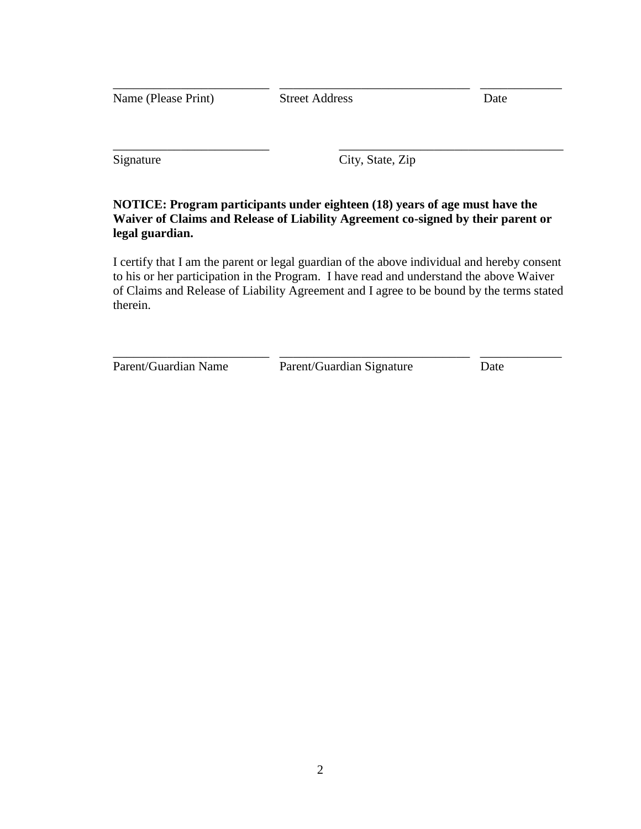| Name (Please Print) | <b>Street Address</b> | Date |
|---------------------|-----------------------|------|
|                     |                       |      |
| Signature           | City, State, Zip      |      |

## **NOTICE: Program participants under eighteen (18) years of age must have the Waiver of Claims and Release of Liability Agreement co-signed by their parent or legal guardian.**

I certify that I am the parent or legal guardian of the above individual and hereby consent to his or her participation in the Program. I have read and understand the above Waiver of Claims and Release of Liability Agreement and I agree to be bound by the terms stated therein.

\_\_\_\_\_\_\_\_\_\_\_\_\_\_\_\_\_\_\_\_\_\_\_ \_\_\_\_\_\_\_\_\_\_\_\_\_\_\_\_\_\_\_\_\_\_\_\_\_\_\_\_ \_\_\_\_\_\_\_\_\_\_\_\_ Parent/Guardian Name Parent/Guardian Signature Date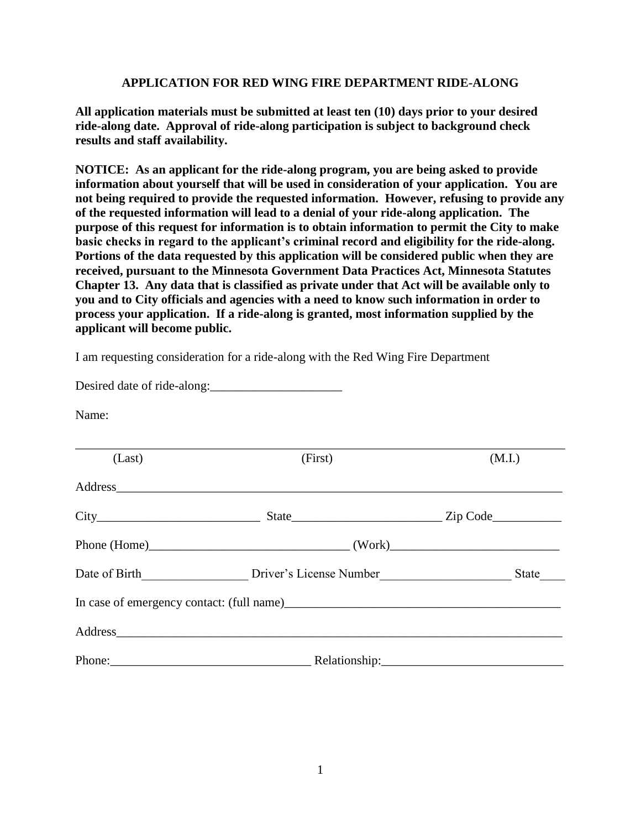#### **APPLICATION FOR RED WING FIRE DEPARTMENT RIDE-ALONG**

**All application materials must be submitted at least ten (10) days prior to your desired ride-along date. Approval of ride-along participation is subject to background check results and staff availability.**

**NOTICE: As an applicant for the ride-along program, you are being asked to provide information about yourself that will be used in consideration of your application. You are not being required to provide the requested information. However, refusing to provide any of the requested information will lead to a denial of your ride-along application. The purpose of this request for information is to obtain information to permit the City to make basic checks in regard to the applicant's criminal record and eligibility for the ride-along. Portions of the data requested by this application will be considered public when they are received, pursuant to the Minnesota Government Data Practices Act, Minnesota Statutes Chapter 13. Any data that is classified as private under that Act will be available only to you and to City officials and agencies with a need to know such information in order to process your application. If a ride-along is granted, most information supplied by the applicant will become public.**

I am requesting consideration for a ride-along with the Red Wing Fire Department

Desired date of ride-along:

Name:

| (Last) | (First) | (M.I.) |  |
|--------|---------|--------|--|
|        |         |        |  |
|        |         |        |  |
|        |         |        |  |
|        |         | State  |  |
|        |         |        |  |
|        | Address |        |  |
|        |         |        |  |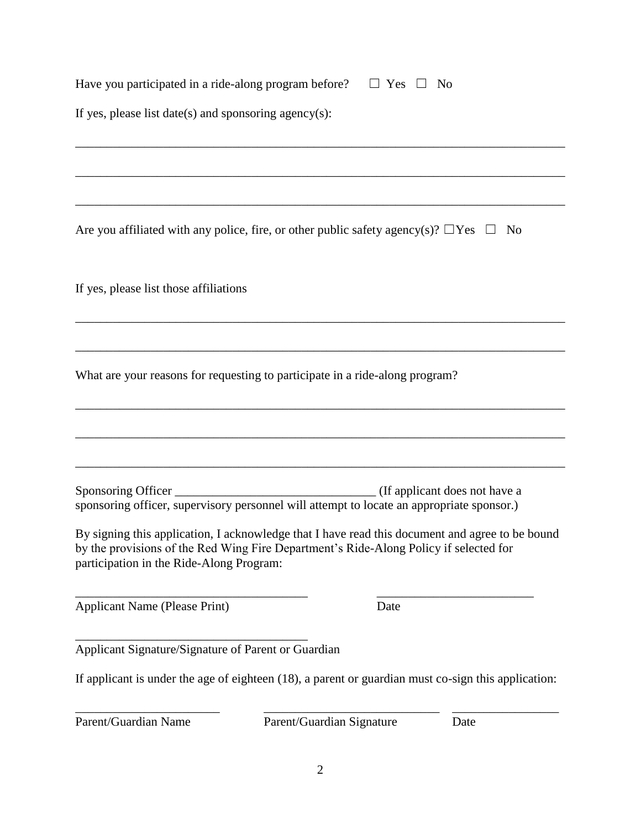| Have you participated in a ride-along program before? | $\Box$ Yes $\Box$<br>No                                                                                                                                                                  |  |  |
|-------------------------------------------------------|------------------------------------------------------------------------------------------------------------------------------------------------------------------------------------------|--|--|
| If yes, please list date(s) and sponsoring agency(s): |                                                                                                                                                                                          |  |  |
|                                                       |                                                                                                                                                                                          |  |  |
|                                                       |                                                                                                                                                                                          |  |  |
|                                                       | Are you affiliated with any police, fire, or other public safety agency(s)? $\Box$ Yes $\Box$<br>N <sub>0</sub>                                                                          |  |  |
| If yes, please list those affiliations                |                                                                                                                                                                                          |  |  |
|                                                       |                                                                                                                                                                                          |  |  |
|                                                       | What are your reasons for requesting to participate in a ride-along program?                                                                                                             |  |  |
|                                                       |                                                                                                                                                                                          |  |  |
|                                                       |                                                                                                                                                                                          |  |  |
|                                                       | sponsoring officer, supervisory personnel will attempt to locate an appropriate sponsor.)                                                                                                |  |  |
| participation in the Ride-Along Program:              | By signing this application, I acknowledge that I have read this document and agree to be bound<br>by the provisions of the Red Wing Fire Department's Ride-Along Policy if selected for |  |  |
| <b>Applicant Name (Please Print)</b>                  | Date                                                                                                                                                                                     |  |  |
| Applicant Signature/Signature of Parent or Guardian   |                                                                                                                                                                                          |  |  |
|                                                       | If applicant is under the age of eighteen $(18)$ , a parent or guardian must co-sign this application:                                                                                   |  |  |
| Parent/Guardian Name                                  | Parent/Guardian Signature<br>Date                                                                                                                                                        |  |  |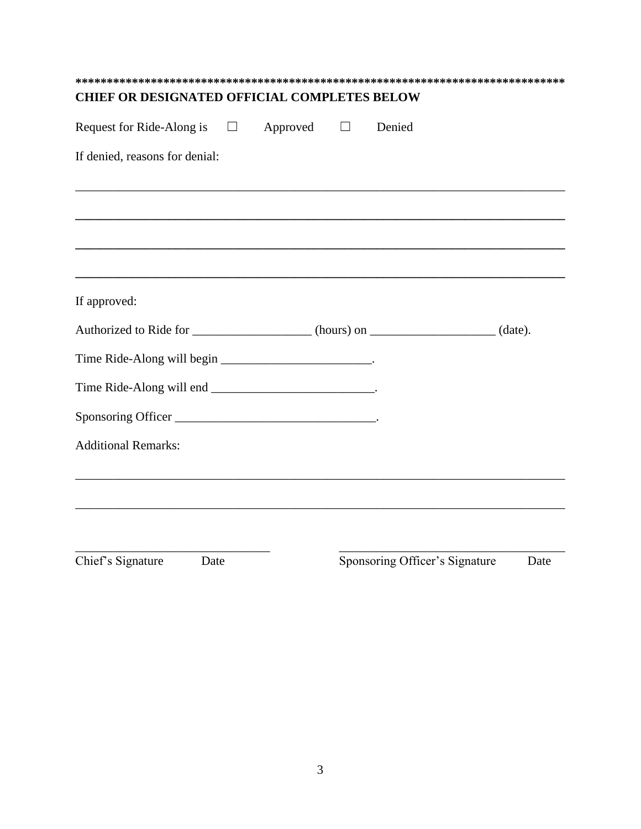| <b>CHIEF OR DESIGNATED OFFICIAL COMPLETES BELOW</b>                       |  |                                |      |  |  |
|---------------------------------------------------------------------------|--|--------------------------------|------|--|--|
| Request for Ride-Along is $\Box$ Approved $\Box$                          |  | Denied                         |      |  |  |
| If denied, reasons for denial:                                            |  |                                |      |  |  |
|                                                                           |  |                                |      |  |  |
|                                                                           |  |                                |      |  |  |
| If approved:                                                              |  |                                |      |  |  |
| Authorized to Ride for ________________(hours) on ________________(date). |  |                                |      |  |  |
| Time Ride-Along will begin ___________________________.                   |  |                                |      |  |  |
|                                                                           |  |                                |      |  |  |
|                                                                           |  |                                |      |  |  |
| <b>Additional Remarks:</b>                                                |  |                                |      |  |  |
|                                                                           |  |                                |      |  |  |
| Chief's Signature<br>Date                                                 |  | Sponsoring Officer's Signature | Date |  |  |
|                                                                           |  |                                |      |  |  |